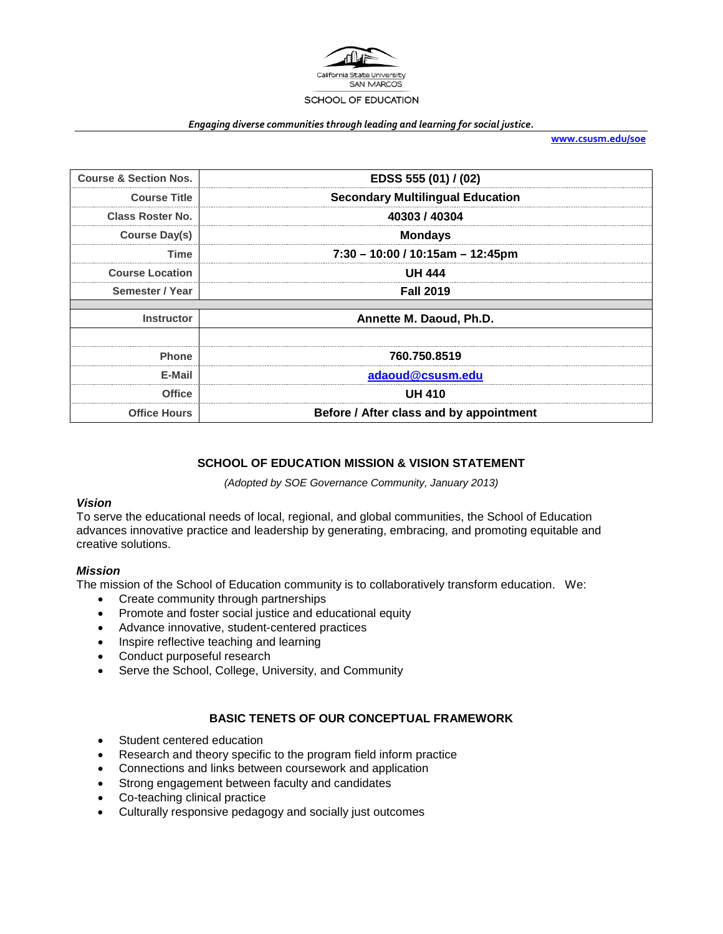

#### *Engaging diverse communities through leading and learning for social justice.*

**[www.csusm.edu/soe](http://www.csusm.edu/soe)**

| <b>Course &amp; Section Nos.</b> | EDSS 555 (01) / (02)                    |
|----------------------------------|-----------------------------------------|
| <b>Course Title</b>              | <b>Secondary Multilingual Education</b> |
| <b>Class Roster No.</b>          | 40303/40304                             |
| <b>Course Day(s)</b>             | <b>Mondays</b>                          |
| Time                             | 7:30 - 10:00 / 10:15am - 12:45pm        |
| <b>Course Location</b>           | <b>UH 444</b>                           |
| Semester / Year                  | <b>Fall 2019</b>                        |
|                                  |                                         |
| <b>Instructor</b>                | Annette M. Daoud, Ph.D.                 |
|                                  |                                         |
| <b>Phone</b>                     | 760.750.8519                            |
| E-Mail                           | adaoud@csusm.edu                        |
| <b>Office</b>                    | <b>UH 410</b>                           |
| <b>Office Hours</b>              | Before / After class and by appointment |

# **SCHOOL OF EDUCATION MISSION & VISION STATEMENT**

*(Adopted by SOE Governance Community, January 2013)*

#### *Vision*

To serve the educational needs of local, regional, and global communities, the School of Education advances innovative practice and leadership by generating, embracing, and promoting equitable and creative solutions.

#### *Mission*

The mission of the School of Education community is to collaboratively transform education. We:

- Create community through partnerships
- Promote and foster social justice and educational equity
- Advance innovative, student-centered practices
- Inspire reflective teaching and learning
- Conduct purposeful research
- Serve the School, College, University, and Community

#### **BASIC TENETS OF OUR CONCEPTUAL FRAMEWORK**

- Student centered education
- Research and theory specific to the program field inform practice
- Connections and links between coursework and application
- Strong engagement between faculty and candidates
- Co-teaching clinical practice
- Culturally responsive pedagogy and socially just outcomes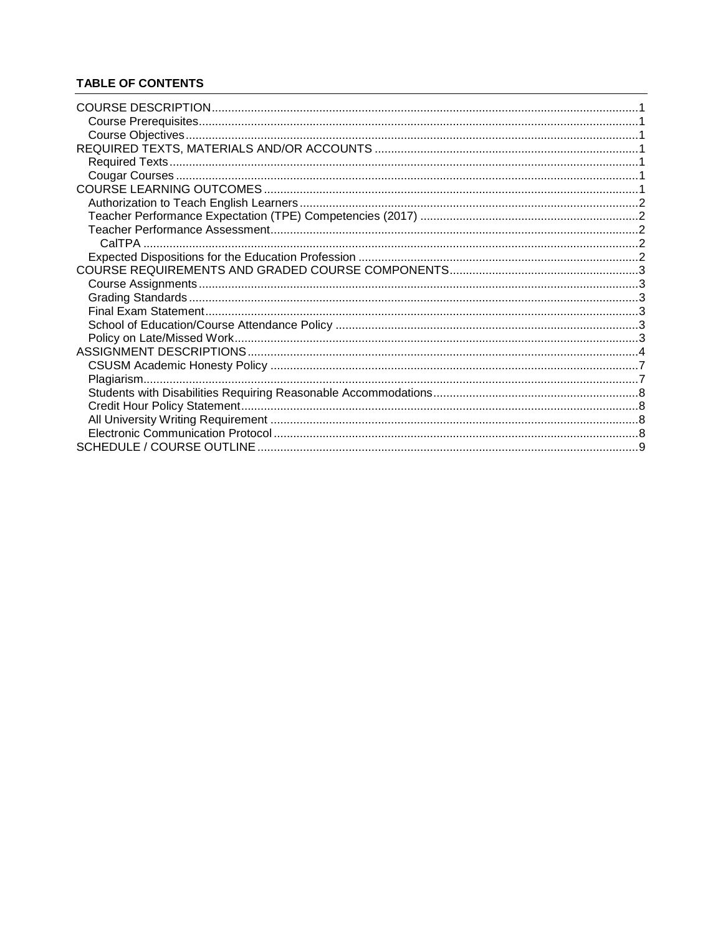# **TABLE OF CONTENTS**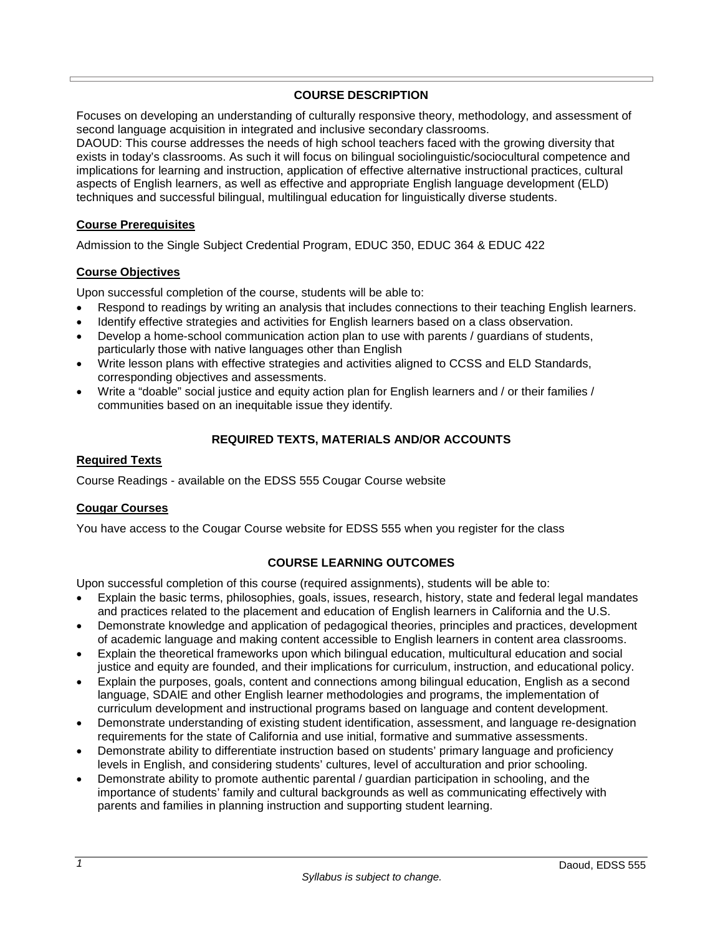# **COURSE DESCRIPTION**

<span id="page-2-0"></span>Focuses on developing an understanding of culturally responsive theory, methodology, and assessment of second language acquisition in integrated and inclusive secondary classrooms.

DAOUD: This course addresses the needs of high school teachers faced with the growing diversity that exists in today's classrooms. As such it will focus on bilingual sociolinguistic/sociocultural competence and implications for learning and instruction, application of effective alternative instructional practices, cultural aspects of English learners, as well as effective and appropriate English language development (ELD) techniques and successful bilingual, multilingual education for linguistically diverse students.

# <span id="page-2-1"></span>**Course Prerequisites**

Admission to the Single Subject Credential Program, EDUC 350, EDUC 364 & EDUC 422

### <span id="page-2-2"></span>**Course Objectives**

Upon successful completion of the course, students will be able to:

- Respond to readings by writing an analysis that includes connections to their teaching English learners.
- Identify effective strategies and activities for English learners based on a class observation.
- Develop a home-school communication action plan to use with parents / guardians of students, particularly those with native languages other than English
- Write lesson plans with effective strategies and activities aligned to CCSS and ELD Standards, corresponding objectives and assessments.
- Write a "doable" social justice and equity action plan for English learners and / or their families / communities based on an inequitable issue they identify.

# **REQUIRED TEXTS, MATERIALS AND/OR ACCOUNTS**

#### <span id="page-2-4"></span><span id="page-2-3"></span>**Required Texts**

Course Readings - available on the EDSS 555 Cougar Course website

#### <span id="page-2-5"></span>**Cougar Courses**

<span id="page-2-6"></span>You have access to the Cougar Course website for EDSS 555 when you register for the class

# **COURSE LEARNING OUTCOMES**

Upon successful completion of this course (required assignments), students will be able to:

- Explain the basic terms, philosophies, goals, issues, research, history, state and federal legal mandates and practices related to the placement and education of English learners in California and the U.S.
- Demonstrate knowledge and application of pedagogical theories, principles and practices, development of academic language and making content accessible to English learners in content area classrooms.
- Explain the theoretical frameworks upon which bilingual education, multicultural education and social justice and equity are founded, and their implications for curriculum, instruction, and educational policy.
- Explain the purposes, goals, content and connections among bilingual education, English as a second language, SDAIE and other English learner methodologies and programs, the implementation of curriculum development and instructional programs based on language and content development.
- Demonstrate understanding of existing student identification, assessment, and language re-designation requirements for the state of California and use initial, formative and summative assessments.
- Demonstrate ability to differentiate instruction based on students' primary language and proficiency levels in English, and considering students' cultures, level of acculturation and prior schooling.
- Demonstrate ability to promote authentic parental / guardian participation in schooling, and the importance of students' family and cultural backgrounds as well as communicating effectively with parents and families in planning instruction and supporting student learning.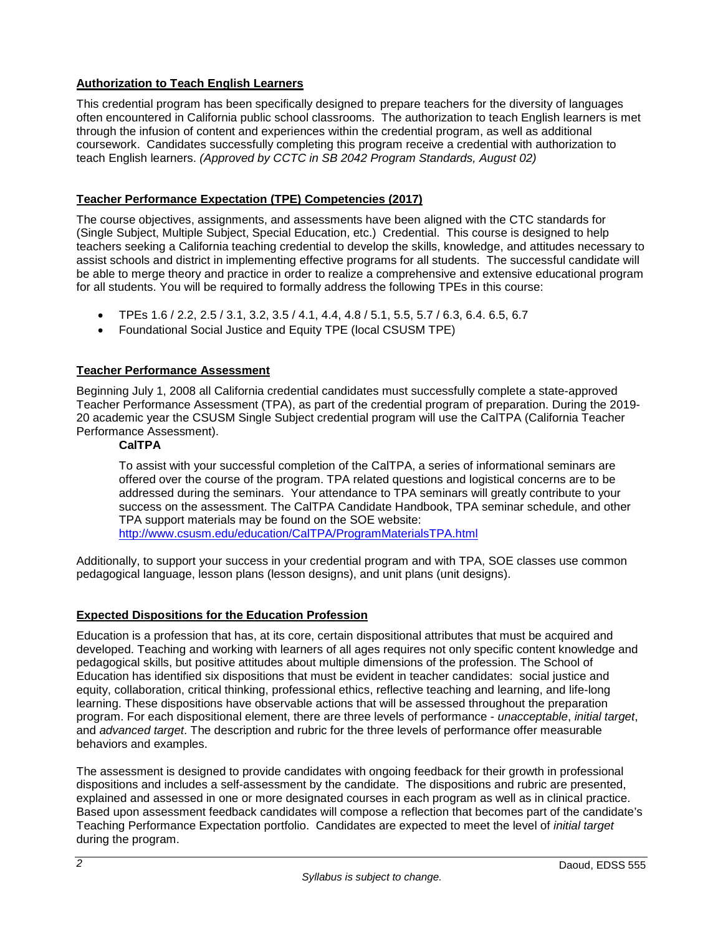# <span id="page-3-0"></span>**Authorization to Teach English Learners**

This credential program has been specifically designed to prepare teachers for the diversity of languages often encountered in California public school classrooms. The authorization to teach English learners is met through the infusion of content and experiences within the credential program, as well as additional coursework. Candidates successfully completing this program receive a credential with authorization to teach English learners. *(Approved by CCTC in SB 2042 Program Standards, August 02)*

# <span id="page-3-1"></span>**Teacher Performance Expectation (TPE) Competencies (2017)**

The course objectives, assignments, and assessments have been aligned with the CTC standards for (Single Subject, Multiple Subject, Special Education, etc.) Credential. This course is designed to help teachers seeking a California teaching credential to develop the skills, knowledge, and attitudes necessary to assist schools and district in implementing effective programs for all students. The successful candidate will be able to merge theory and practice in order to realize a comprehensive and extensive educational program for all students. You will be required to formally address the following TPEs in this course:

- TPEs 1.6 / 2.2, 2.5 / 3.1, 3.2, 3.5 / 4.1, 4.4, 4.8 / 5.1, 5.5, 5.7 / 6.3, 6.4. 6.5, 6.7
- Foundational Social Justice and Equity TPE (local CSUSM TPE)

# <span id="page-3-2"></span>**Teacher Performance Assessment**

Beginning July 1, 2008 all California credential candidates must successfully complete a state-approved Teacher Performance Assessment (TPA), as part of the credential program of preparation. During the 2019- 20 academic year the CSUSM Single Subject credential program will use the CalTPA (California Teacher Performance Assessment).

### <span id="page-3-3"></span>**CalTPA**

To assist with your successful completion of the CalTPA, a series of informational seminars are offered over the course of the program. TPA related questions and logistical concerns are to be addressed during the seminars. Your attendance to TPA seminars will greatly contribute to your success on the assessment. The CalTPA Candidate Handbook, TPA seminar schedule, and other TPA support materials may be found on the SOE website: <http://www.csusm.edu/education/CalTPA/ProgramMaterialsTPA.html>

Additionally, to support your success in your credential program and with TPA, SOE classes use common pedagogical language, lesson plans (lesson designs), and unit plans (unit designs).

# <span id="page-3-4"></span>**Expected Dispositions for the Education Profession**

Education is a profession that has, at its core, certain dispositional attributes that must be acquired and developed. Teaching and working with learners of all ages requires not only specific content knowledge and pedagogical skills, but positive attitudes about multiple dimensions of the profession. The School of Education has identified six dispositions that must be evident in teacher candidates: social justice and equity, collaboration, critical thinking, professional ethics, reflective teaching and learning, and life-long learning. These dispositions have observable actions that will be assessed throughout the preparation program. For each dispositional element, there are three levels of performance - *unacceptable*, *initial target*, and *advanced target*. The description and rubric for the three levels of performance offer measurable behaviors and examples.

The assessment is designed to provide candidates with ongoing feedback for their growth in professional dispositions and includes a self-assessment by the candidate. The dispositions and rubric are presented, explained and assessed in one or more designated courses in each program as well as in clinical practice. Based upon assessment feedback candidates will compose a reflection that becomes part of the candidate's Teaching Performance Expectation portfolio. Candidates are expected to meet the level of *initial target* during the program.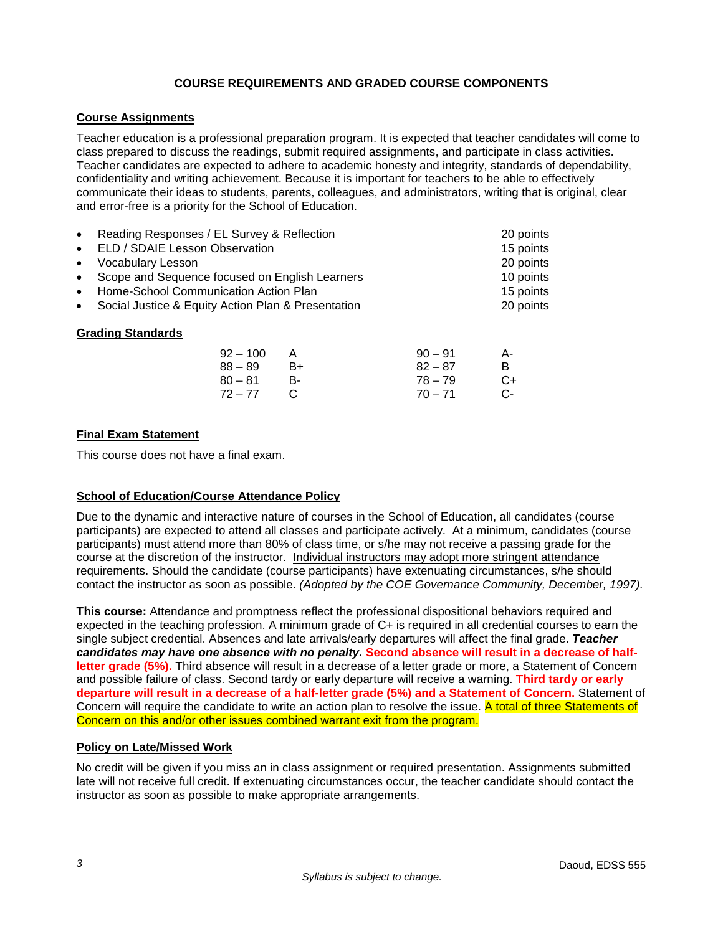# **COURSE REQUIREMENTS AND GRADED COURSE COMPONENTS**

# <span id="page-4-1"></span><span id="page-4-0"></span>**Course Assignments**

Teacher education is a professional preparation program. It is expected that teacher candidates will come to class prepared to discuss the readings, submit required assignments, and participate in class activities. Teacher candidates are expected to adhere to academic honesty and integrity, standards of dependability, confidentiality and writing achievement. Because it is important for teachers to be able to effectively communicate their ideas to students, parents, colleagues, and administrators, writing that is original, clear and error-free is a priority for the School of Education.

<span id="page-4-2"></span>

| Reading Responses / EL Survey & Reflection<br>$\bullet$         | 20 points |
|-----------------------------------------------------------------|-----------|
| ELD / SDAIE Lesson Observation<br>$\bullet$                     | 15 points |
| Vocabulary Lesson<br>$\bullet$                                  | 20 points |
| Scope and Sequence focused on English Learners<br>$\bullet$     | 10 points |
| Home-School Communication Action Plan<br>$\bullet$              | 15 points |
| Social Justice & Equity Action Plan & Presentation<br>20 points |           |
| <b>Grading Standards</b>                                        |           |

#### $92 - 100$  A  $90 - 91$  A-88 – 89 B+ 82 – 87 B 80 – 81 B- 78 – 79 C+<br>72 – 77 C 70 – 71 C- $70 - 71$  C-

### <span id="page-4-3"></span>**Final Exam Statement**

This course does not have a final exam.

#### <span id="page-4-4"></span>**School of Education/Course Attendance Policy**

Due to the dynamic and interactive nature of courses in the School of Education, all candidates (course participants) are expected to attend all classes and participate actively. At a minimum, candidates (course participants) must attend more than 80% of class time, or s/he may not receive a passing grade for the course at the discretion of the instructor. Individual instructors may adopt more stringent attendance requirements. Should the candidate (course participants) have extenuating circumstances, s/he should contact the instructor as soon as possible. *(Adopted by the COE Governance Community, December, 1997).*

**This course:** Attendance and promptness reflect the professional dispositional behaviors required and expected in the teaching profession. A minimum grade of C+ is required in all credential courses to earn the single subject credential. Absences and late arrivals/early departures will affect the final grade. *Teacher candidates may have one absence with no penalty.* **Second absence will result in a decrease of halfletter grade (5%).** Third absence will result in a decrease of a letter grade or more, a Statement of Concern and possible failure of class. Second tardy or early departure will receive a warning. **Third tardy or early departure will result in a decrease of a half-letter grade (5%) and a Statement of Concern.** Statement of Concern will require the candidate to write an action plan to resolve the issue. A total of three Statements of Concern on this and/or other issues combined warrant exit from the program.

#### <span id="page-4-5"></span>**Policy on Late/Missed Work**

No credit will be given if you miss an in class assignment or required presentation. Assignments submitted late will not receive full credit. If extenuating circumstances occur, the teacher candidate should contact the instructor as soon as possible to make appropriate arrangements.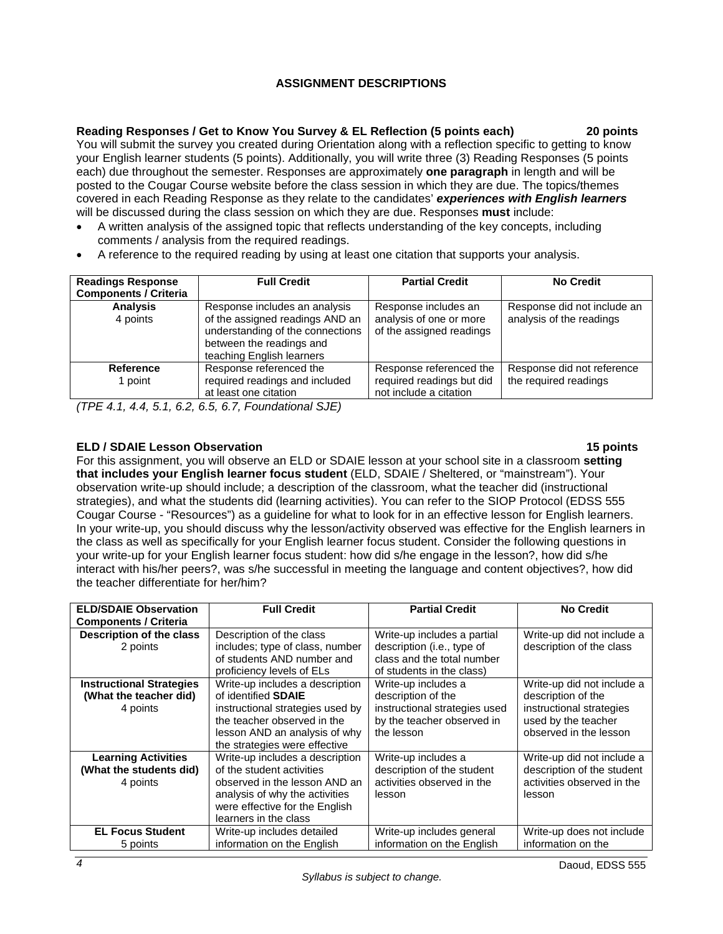# **ASSIGNMENT DESCRIPTIONS**

<span id="page-5-0"></span>**Reading Responses / Get to Know You Survey & EL Reflection (5 points each) 20 points** You will submit the survey you created during Orientation along with a reflection specific to getting to know your English learner students (5 points). Additionally, you will write three (3) Reading Responses (5 points each) due throughout the semester. Responses are approximately **one paragraph** in length and will be posted to the Cougar Course website before the class session in which they are due. The topics/themes covered in each Reading Response as they relate to the candidates' *experiences with English learners*

- will be discussed during the class session on which they are due. Responses **must** include:
- A written analysis of the assigned topic that reflects understanding of the key concepts, including comments / analysis from the required readings.
- A reference to the required reading by using at least one citation that supports your analysis.

| <b>Readings Response</b><br><b>Components / Criteria</b> | <b>Full Credit</b>                                                                                                                                            | <b>Partial Credit</b>                                                          | <b>No Credit</b>                                        |
|----------------------------------------------------------|---------------------------------------------------------------------------------------------------------------------------------------------------------------|--------------------------------------------------------------------------------|---------------------------------------------------------|
| <b>Analysis</b><br>4 points                              | Response includes an analysis<br>of the assigned readings AND an<br>understanding of the connections<br>between the readings and<br>teaching English learners | Response includes an<br>analysis of one or more<br>of the assigned readings    | Response did not include an<br>analysis of the readings |
| Reference<br>1 point                                     | Response referenced the<br>required readings and included<br>at least one citation                                                                            | Response referenced the<br>required readings but did<br>not include a citation | Response did not reference<br>the required readings     |

*(TPE 4.1, 4.4, 5.1, 6.2, 6.5, 6.7, Foundational SJE)*

# **ELD / SDAIE Lesson Observation 15 points**

For this assignment, you will observe an ELD or SDAIE lesson at your school site in a classroom **setting that includes your English learner focus student** (ELD, SDAIE / Sheltered, or "mainstream"). Your observation write-up should include; a description of the classroom, what the teacher did (instructional strategies), and what the students did (learning activities). You can refer to the SIOP Protocol (EDSS 555 Cougar Course - "Resources") as a guideline for what to look for in an effective lesson for English learners. In your write-up, you should discuss why the lesson/activity observed was effective for the English learners in the class as well as specifically for your English learner focus student. Consider the following questions in your write-up for your English learner focus student: how did s/he engage in the lesson?, how did s/he interact with his/her peers?, was s/he successful in meeting the language and content objectives?, how did the teacher differentiate for her/him?

| <b>ELD/SDAIE Observation</b>    | <b>Full Credit</b>                                      | <b>Partial Credit</b>                                   | <b>No Credit</b>           |
|---------------------------------|---------------------------------------------------------|---------------------------------------------------------|----------------------------|
| <b>Components / Criteria</b>    |                                                         |                                                         |                            |
| Description of the class        | Description of the class                                | Write-up includes a partial                             | Write-up did not include a |
| 2 points                        | includes; type of class, number                         | description (i.e., type of                              | description of the class   |
|                                 | of students AND number and<br>proficiency levels of ELs | class and the total number<br>of students in the class) |                            |
| <b>Instructional Strategies</b> | Write-up includes a description                         | Write-up includes a                                     | Write-up did not include a |
| (What the teacher did)          | of identified <b>SDAIE</b>                              | description of the                                      | description of the         |
| 4 points                        | instructional strategies used by                        | instructional strategies used                           | instructional strategies   |
|                                 | the teacher observed in the                             | by the teacher observed in                              | used by the teacher        |
|                                 | lesson AND an analysis of why                           | the lesson                                              | observed in the lesson     |
|                                 | the strategies were effective                           |                                                         |                            |
| <b>Learning Activities</b>      | Write-up includes a description                         | Write-up includes a                                     | Write-up did not include a |
| (What the students did)         | of the student activities                               | description of the student                              | description of the student |
| 4 points                        | observed in the lesson AND an                           | activities observed in the                              | activities observed in the |
|                                 | analysis of why the activities                          | lesson                                                  | lesson                     |
|                                 | were effective for the English                          |                                                         |                            |
|                                 | learners in the class                                   |                                                         |                            |
| <b>EL Focus Student</b>         | Write-up includes detailed                              | Write-up includes general                               | Write-up does not include  |
| 5 points                        | information on the English                              | information on the English                              | information on the         |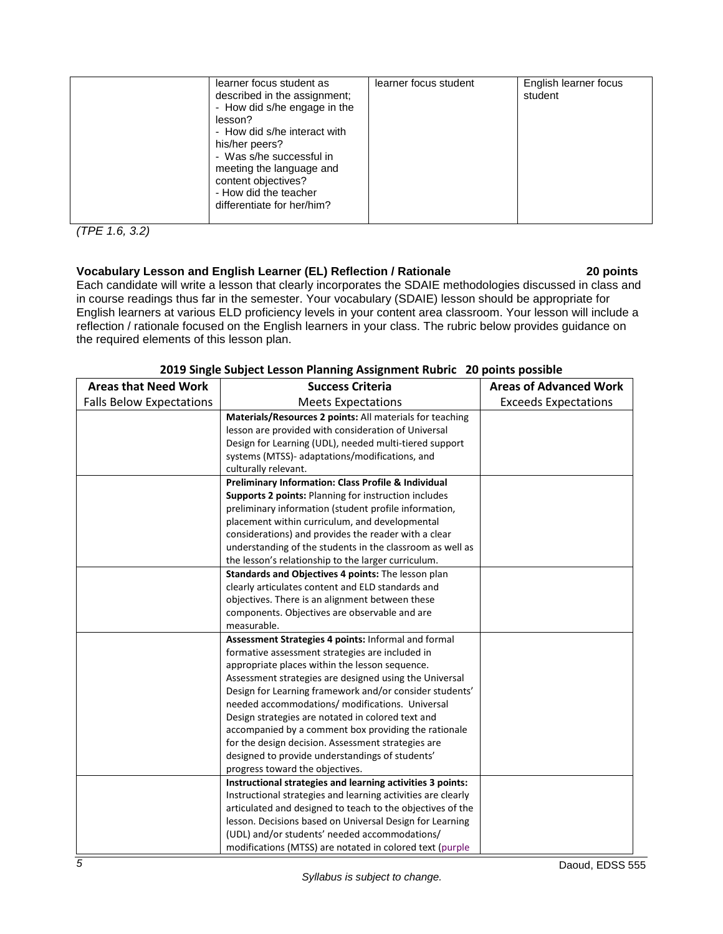| learner focus student as<br>described in the assignment;<br>- How did s/he engage in the<br>lesson?<br>- How did s/he interact with<br>his/her peers?<br>- Was s/he successful in<br>meeting the language and<br>content objectives?<br>- How did the teacher<br>differentiate for her/him? | learner focus student | English learner focus<br>student |
|---------------------------------------------------------------------------------------------------------------------------------------------------------------------------------------------------------------------------------------------------------------------------------------------|-----------------------|----------------------------------|

*(TPE 1.6, 3.2)*

# **Vocabulary Lesson and English Learner (EL) Reflection / Rationale 20 points**

Each candidate will write a lesson that clearly incorporates the SDAIE methodologies discussed in class and in course readings thus far in the semester. Your vocabulary (SDAIE) lesson should be appropriate for English learners at various ELD proficiency levels in your content area classroom. Your lesson will include a reflection / rationale focused on the English learners in your class. The rubric below provides guidance on the required elements of this lesson plan.

| <b>Areas that Need Work</b>     | <b>Success Criteria</b>                                      | <b>Areas of Advanced Work</b> |
|---------------------------------|--------------------------------------------------------------|-------------------------------|
| <b>Falls Below Expectations</b> | <b>Meets Expectations</b>                                    | <b>Exceeds Expectations</b>   |
|                                 | Materials/Resources 2 points: All materials for teaching     |                               |
|                                 | lesson are provided with consideration of Universal          |                               |
|                                 | Design for Learning (UDL), needed multi-tiered support       |                               |
|                                 | systems (MTSS)- adaptations/modifications, and               |                               |
|                                 | culturally relevant.                                         |                               |
|                                 | Preliminary Information: Class Profile & Individual          |                               |
|                                 | Supports 2 points: Planning for instruction includes         |                               |
|                                 | preliminary information (student profile information,        |                               |
|                                 | placement within curriculum, and developmental               |                               |
|                                 | considerations) and provides the reader with a clear         |                               |
|                                 | understanding of the students in the classroom as well as    |                               |
|                                 | the lesson's relationship to the larger curriculum.          |                               |
|                                 | Standards and Objectives 4 points: The lesson plan           |                               |
|                                 | clearly articulates content and ELD standards and            |                               |
|                                 | objectives. There is an alignment between these              |                               |
|                                 | components. Objectives are observable and are                |                               |
|                                 | measurable.                                                  |                               |
|                                 | Assessment Strategies 4 points: Informal and formal          |                               |
|                                 | formative assessment strategies are included in              |                               |
|                                 | appropriate places within the lesson sequence.               |                               |
|                                 | Assessment strategies are designed using the Universal       |                               |
|                                 | Design for Learning framework and/or consider students'      |                               |
|                                 | needed accommodations/ modifications. Universal              |                               |
|                                 | Design strategies are notated in colored text and            |                               |
|                                 | accompanied by a comment box providing the rationale         |                               |
|                                 | for the design decision. Assessment strategies are           |                               |
|                                 | designed to provide understandings of students'              |                               |
|                                 | progress toward the objectives.                              |                               |
|                                 | Instructional strategies and learning activities 3 points:   |                               |
|                                 | Instructional strategies and learning activities are clearly |                               |
|                                 | articulated and designed to teach to the objectives of the   |                               |
|                                 | lesson. Decisions based on Universal Design for Learning     |                               |
|                                 | (UDL) and/or students' needed accommodations/                |                               |
|                                 | modifications (MTSS) are notated in colored text (purple     |                               |

# **2019 Single Subject Lesson Planning Assignment Rubric 20 points possible**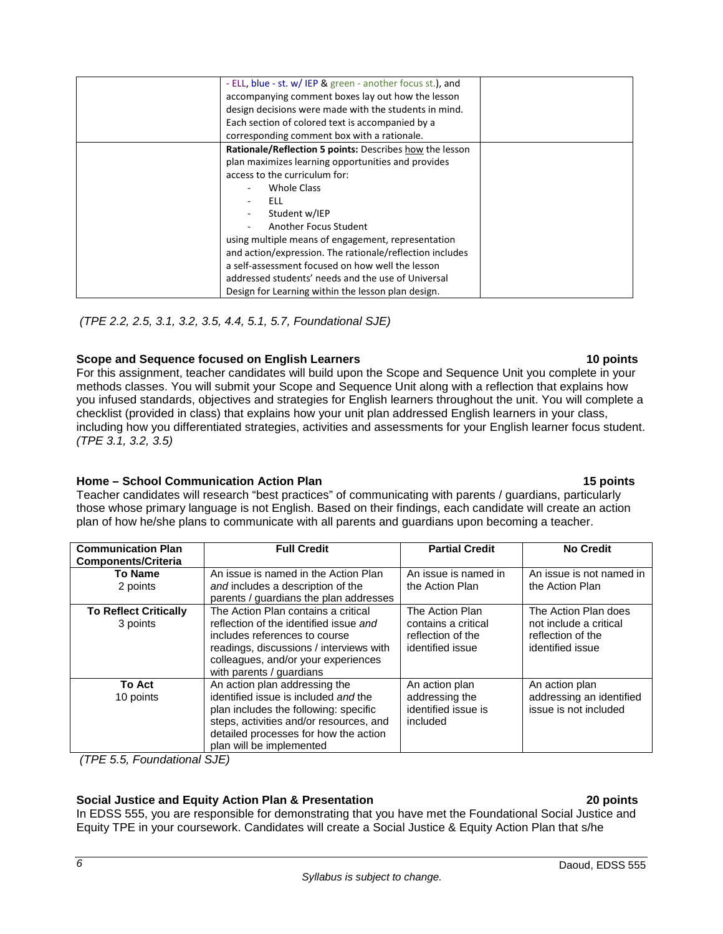| - ELL, blue - st. w/ IEP & green - another focus st.), and |  |
|------------------------------------------------------------|--|
| accompanying comment boxes lay out how the lesson          |  |
| design decisions were made with the students in mind.      |  |
| Each section of colored text is accompanied by a           |  |
| corresponding comment box with a rationale.                |  |
| Rationale/Reflection 5 points: Describes how the lesson    |  |
| plan maximizes learning opportunities and provides         |  |
| access to the curriculum for:                              |  |
| Whole Class                                                |  |
| ELL.                                                       |  |
| Student w/IEP                                              |  |
| Another Focus Student                                      |  |
| using multiple means of engagement, representation         |  |
| and action/expression. The rationale/reflection includes   |  |
| a self-assessment focused on how well the lesson           |  |
| addressed students' needs and the use of Universal         |  |
| Design for Learning within the lesson plan design.         |  |

*(TPE 2.2, 2.5, 3.1, 3.2, 3.5, 4.4, 5.1, 5.7, Foundational SJE)*

# **Scope and Sequence focused on English Learners 10 points**

For this assignment, teacher candidates will build upon the Scope and Sequence Unit you complete in your methods classes. You will submit your Scope and Sequence Unit along with a reflection that explains how you infused standards, objectives and strategies for English learners throughout the unit. You will complete a checklist (provided in class) that explains how your unit plan addressed English learners in your class, including how you differentiated strategies, activities and assessments for your English learner focus student. *(TPE 3.1, 3.2, 3.5)*

# **Home – School Communication Action Plan** 15 **<b>points** 15 **points**

Teacher candidates will research "best practices" of communicating with parents / guardians, particularly those whose primary language is not English. Based on their findings, each candidate will create an action plan of how he/she plans to communicate with all parents and guardians upon becoming a teacher.

| <b>Communication Plan</b><br><b>Components/Criteria</b> | <b>Full Credit</b>                                                                                                                                                                                                             | <b>Partial Credit</b>                                                           | <b>No Credit</b>                                                                        |
|---------------------------------------------------------|--------------------------------------------------------------------------------------------------------------------------------------------------------------------------------------------------------------------------------|---------------------------------------------------------------------------------|-----------------------------------------------------------------------------------------|
| <b>To Name</b><br>2 points                              | An issue is named in the Action Plan<br>and includes a description of the<br>parents / guardians the plan addresses                                                                                                            | An issue is named in<br>the Action Plan                                         | An issue is not named in<br>the Action Plan                                             |
| <b>To Reflect Critically</b><br>3 points                | The Action Plan contains a critical<br>reflection of the identified issue and<br>includes references to course<br>readings, discussions / interviews with<br>colleagues, and/or your experiences<br>with parents / guardians   | The Action Plan<br>contains a critical<br>reflection of the<br>identified issue | The Action Plan does<br>not include a critical<br>reflection of the<br>identified issue |
| <b>To Act</b><br>10 points                              | An action plan addressing the<br>identified issue is included and the<br>plan includes the following: specific<br>steps, activities and/or resources, and<br>detailed processes for how the action<br>plan will be implemented | An action plan<br>addressing the<br>identified issue is<br>included             | An action plan<br>addressing an identified<br>issue is not included                     |

*(TPE 5.5, Foundational SJE)*

# **Social Justice and Equity Action Plan & Presentation 20 points**

In EDSS 555, you are responsible for demonstrating that you have met the Foundational Social Justice and Equity TPE in your coursework. Candidates will create a Social Justice & Equity Action Plan that s/he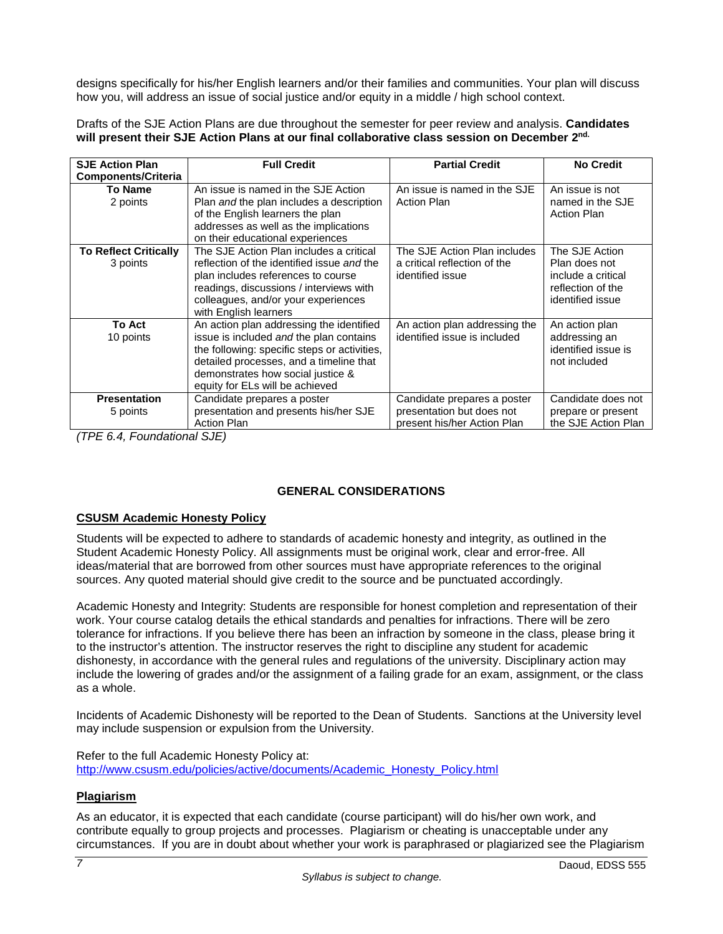designs specifically for his/her English learners and/or their families and communities. Your plan will discuss how you, will address an issue of social justice and/or equity in a middle / high school context.

Drafts of the SJE Action Plans are due throughout the semester for peer review and analysis. **Candidates will present their SJE Action Plans at our final collaborative class session on December 2nd.**

| <b>SJE Action Plan</b><br>Components/Criteria | <b>Full Credit</b>                                                                                                                                                                                                                                     | <b>Partial Credit</b>                                                                   | <b>No Credit</b>                                                                               |
|-----------------------------------------------|--------------------------------------------------------------------------------------------------------------------------------------------------------------------------------------------------------------------------------------------------------|-----------------------------------------------------------------------------------------|------------------------------------------------------------------------------------------------|
| <b>To Name</b><br>2 points                    | An issue is named in the SJE Action<br>Plan and the plan includes a description<br>of the English learners the plan<br>addresses as well as the implications<br>on their educational experiences                                                       | An issue is named in the SJE<br><b>Action Plan</b>                                      | An issue is not<br>named in the SJE<br><b>Action Plan</b>                                      |
| <b>To Reflect Critically</b><br>3 points      | The SJE Action Plan includes a critical<br>reflection of the identified issue and the<br>plan includes references to course<br>readings, discussions / interviews with<br>colleagues, and/or your experiences<br>with English learners                 | The SJE Action Plan includes<br>a critical reflection of the<br>identified issue        | The SJE Action<br>Plan does not<br>include a critical<br>reflection of the<br>identified issue |
| <b>To Act</b><br>10 points                    | An action plan addressing the identified<br>issue is included and the plan contains<br>the following: specific steps or activities,<br>detailed processes, and a timeline that<br>demonstrates how social justice &<br>equity for ELs will be achieved | An action plan addressing the<br>identified issue is included                           | An action plan<br>addressing an<br>identified issue is<br>not included                         |
| <b>Presentation</b><br>5 points               | Candidate prepares a poster<br>presentation and presents his/her SJE<br><b>Action Plan</b>                                                                                                                                                             | Candidate prepares a poster<br>presentation but does not<br>present his/her Action Plan | Candidate does not<br>prepare or present<br>the SJE Action Plan                                |

*(TPE 6.4, Foundational SJE)*

# **GENERAL CONSIDERATIONS**

# <span id="page-8-0"></span>**CSUSM Academic Honesty Policy**

Students will be expected to adhere to standards of academic honesty and integrity, as outlined in the Student Academic Honesty Policy. All assignments must be original work, clear and error-free. All ideas/material that are borrowed from other sources must have appropriate references to the original sources. Any quoted material should give credit to the source and be punctuated accordingly.

Academic Honesty and Integrity: Students are responsible for honest completion and representation of their work. Your course catalog details the ethical standards and penalties for infractions. There will be zero tolerance for infractions. If you believe there has been an infraction by someone in the class, please bring it to the instructor's attention. The instructor reserves the right to discipline any student for academic dishonesty, in accordance with the general rules and regulations of the university. Disciplinary action may include the lowering of grades and/or the assignment of a failing grade for an exam, assignment, or the class as a whole.

Incidents of Academic Dishonesty will be reported to the Dean of Students. Sanctions at the University level may include suspension or expulsion from the University.

Refer to the full Academic Honesty Policy at: [http://www.csusm.edu/policies/active/documents/Academic\\_Honesty\\_Policy.html](http://www.csusm.edu/policies/active/documents/Academic_Honesty_Policy.html)

# <span id="page-8-1"></span>**Plagiarism**

As an educator, it is expected that each candidate (course participant) will do his/her own work, and contribute equally to group projects and processes. Plagiarism or cheating is unacceptable under any circumstances. If you are in doubt about whether your work is paraphrased or plagiarized see the Plagiarism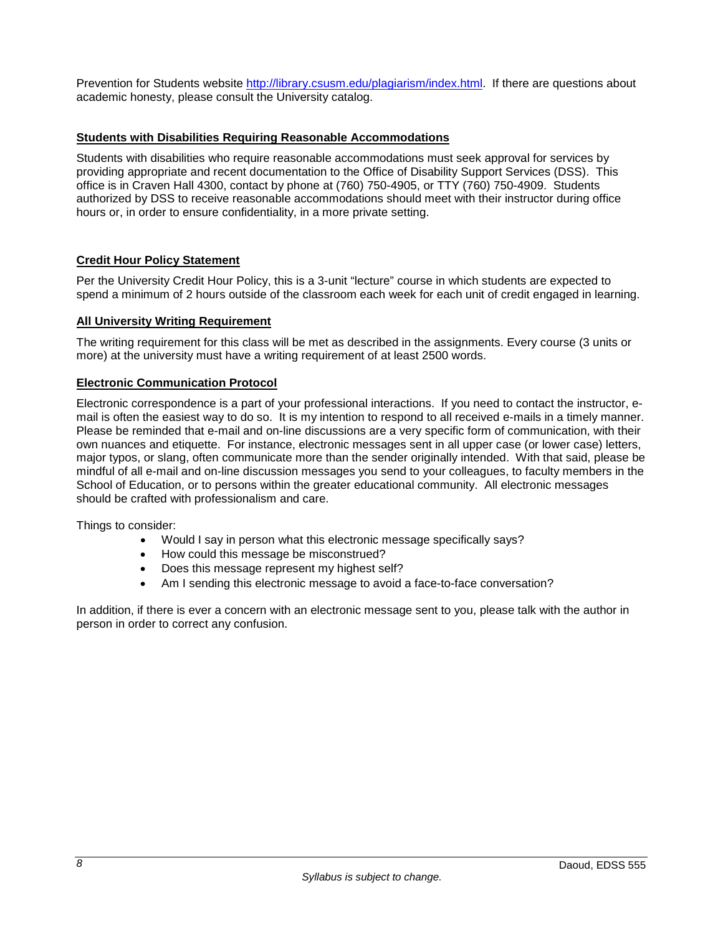Prevention for Students website [http://library.csusm.edu/plagiarism/index.html.](http://library.csusm.edu/plagiarism/index.html) If there are questions about academic honesty, please consult the University catalog.

# <span id="page-9-0"></span>**Students with Disabilities Requiring Reasonable Accommodations**

Students with disabilities who require reasonable accommodations must seek approval for services by providing appropriate and recent documentation to the Office of Disability Support Services (DSS). This office is in Craven Hall 4300, contact by phone at (760) 750-4905, or TTY (760) 750-4909. Students authorized by DSS to receive reasonable accommodations should meet with their instructor during office hours or, in order to ensure confidentiality, in a more private setting.

# <span id="page-9-1"></span>**Credit Hour Policy Statement**

Per the University Credit Hour Policy, this is a 3-unit "lecture" course in which students are expected to spend a minimum of 2 hours outside of the classroom each week for each unit of credit engaged in learning.

#### <span id="page-9-2"></span>**All University Writing Requirement**

The writing requirement for this class will be met as described in the assignments. Every course (3 units or more) at the university must have a writing requirement of at least 2500 words.

### <span id="page-9-3"></span>**Electronic Communication Protocol**

Electronic correspondence is a part of your professional interactions. If you need to contact the instructor, email is often the easiest way to do so. It is my intention to respond to all received e-mails in a timely manner. Please be reminded that e-mail and on-line discussions are a very specific form of communication, with their own nuances and etiquette. For instance, electronic messages sent in all upper case (or lower case) letters, major typos, or slang, often communicate more than the sender originally intended. With that said, please be mindful of all e-mail and on-line discussion messages you send to your colleagues, to faculty members in the School of Education, or to persons within the greater educational community. All electronic messages should be crafted with professionalism and care.

Things to consider:

- Would I say in person what this electronic message specifically says?
- How could this message be misconstrued?
- Does this message represent my highest self?
- Am I sending this electronic message to avoid a face-to-face conversation?

In addition, if there is ever a concern with an electronic message sent to you, please talk with the author in person in order to correct any confusion.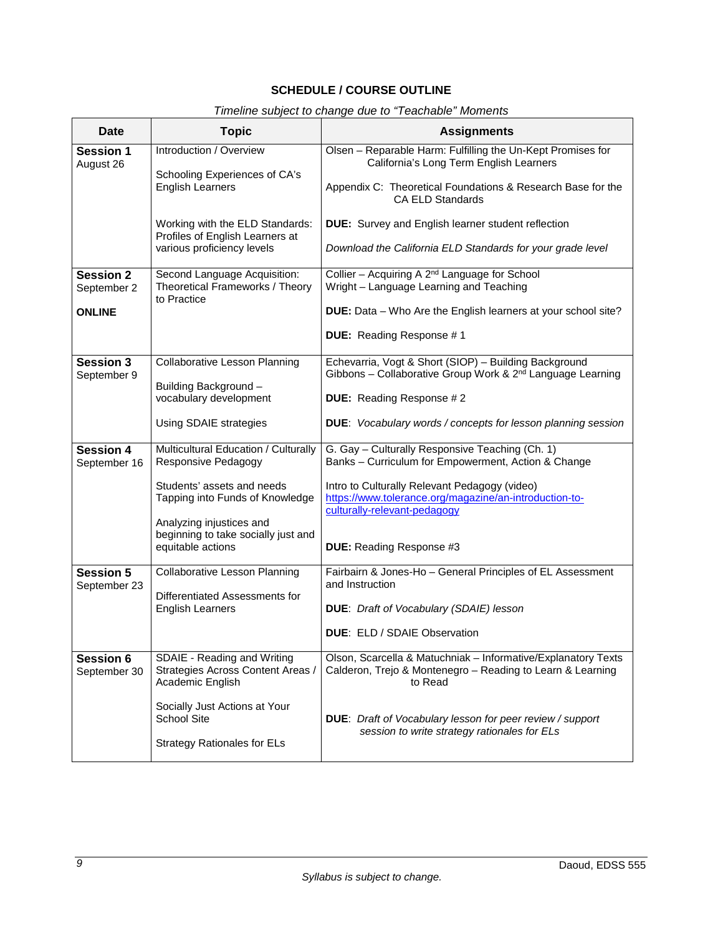# **SCHEDULE / COURSE OUTLINE**

# *Timeline subject to change due to "Teachable" Moments*

<span id="page-10-0"></span>

| Date                             | <b>Topic</b>                                                                         | <b>Assignments</b>                                                                                                                      |
|----------------------------------|--------------------------------------------------------------------------------------|-----------------------------------------------------------------------------------------------------------------------------------------|
| <b>Session 1</b><br>August 26    | Introduction / Overview<br>Schooling Experiences of CA's                             | Olsen - Reparable Harm: Fulfilling the Un-Kept Promises for<br>California's Long Term English Learners                                  |
|                                  | <b>English Learners</b>                                                              | Appendix C: Theoretical Foundations & Research Base for the<br><b>CA ELD Standards</b>                                                  |
|                                  | Working with the ELD Standards:<br>Profiles of English Learners at                   | DUE: Survey and English learner student reflection                                                                                      |
|                                  | various proficiency levels                                                           | Download the California ELD Standards for your grade level                                                                              |
| <b>Session 2</b><br>September 2  | Second Language Acquisition:<br>Theoretical Frameworks / Theory<br>to Practice       | Collier - Acquiring A 2 <sup>nd</sup> Language for School<br>Wright - Language Learning and Teaching                                    |
| <b>ONLINE</b>                    |                                                                                      | <b>DUE:</b> Data - Who Are the English learners at your school site?                                                                    |
|                                  |                                                                                      | DUE: Reading Response #1                                                                                                                |
| <b>Session 3</b><br>September 9  | <b>Collaborative Lesson Planning</b>                                                 | Echevarria, Vogt & Short (SIOP) - Building Background<br>Gibbons - Collaborative Group Work & 2 <sup>nd</sup> Language Learning         |
|                                  | Building Background-<br>vocabulary development                                       | <b>DUE:</b> Reading Response #2                                                                                                         |
|                                  | Using SDAIE strategies                                                               | <b>DUE:</b> Vocabulary words / concepts for lesson planning session                                                                     |
| <b>Session 4</b><br>September 16 | Multicultural Education / Culturally<br>Responsive Pedagogy                          | G. Gay - Culturally Responsive Teaching (Ch. 1)<br>Banks - Curriculum for Empowerment, Action & Change                                  |
|                                  | Students' assets and needs<br>Tapping into Funds of Knowledge                        | Intro to Culturally Relevant Pedagogy (video)<br>https://www.tolerance.org/magazine/an-introduction-to-<br>culturally-relevant-pedagogy |
|                                  | Analyzing injustices and<br>beginning to take socially just and                      |                                                                                                                                         |
|                                  | equitable actions                                                                    | DUE: Reading Response #3                                                                                                                |
| <b>Session 5</b><br>September 23 | <b>Collaborative Lesson Planning</b>                                                 | Fairbairn & Jones-Ho - General Principles of EL Assessment<br>and Instruction                                                           |
|                                  | Differentiated Assessments for<br><b>English Learners</b>                            | <b>DUE:</b> Draft of Vocabulary (SDAIE) lesson                                                                                          |
|                                  |                                                                                      | <b>DUE: ELD / SDAIE Observation</b>                                                                                                     |
| <b>Session 6</b><br>September 30 | SDAIE - Reading and Writing<br>Strategies Across Content Areas /<br>Academic English | Olson, Scarcella & Matuchniak - Informative/Explanatory Texts<br>Calderon, Trejo & Montenegro - Reading to Learn & Learning<br>to Read  |
|                                  | Socially Just Actions at Your<br><b>School Site</b>                                  | <b>DUE:</b> Draft of Vocabulary lesson for peer review / support                                                                        |
|                                  | <b>Strategy Rationales for ELs</b>                                                   | session to write strategy rationales for ELs                                                                                            |